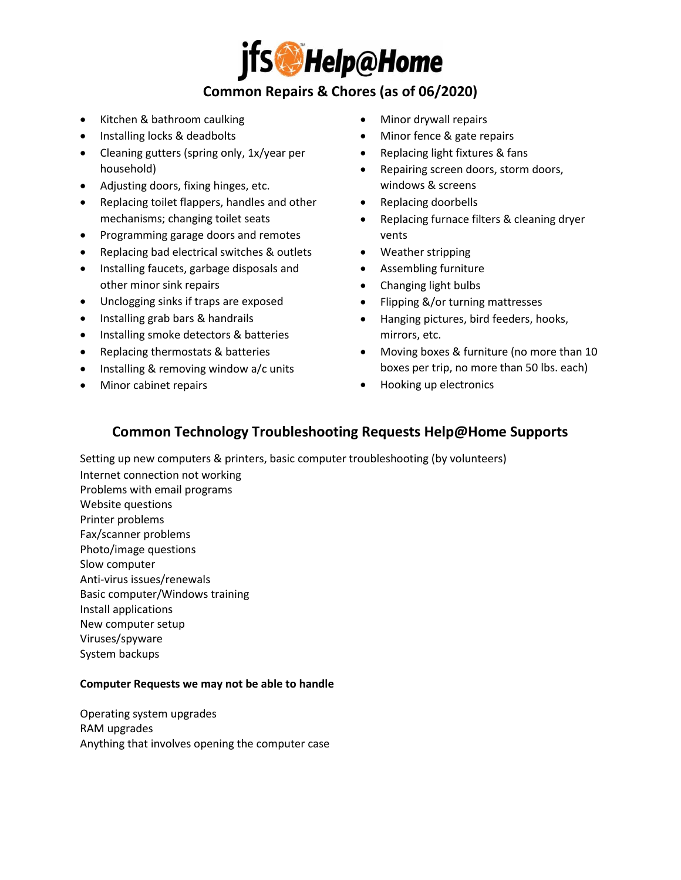

# **Common Repairs & Chores (as of 06/2020)**

- Kitchen & bathroom caulking
- Installing locks & deadbolts
- Cleaning gutters (spring only, 1x/year per household)
- Adjusting doors, fixing hinges, etc.
- Replacing toilet flappers, handles and other mechanisms; changing toilet seats
- Programming garage doors and remotes
- Replacing bad electrical switches & outlets
- Installing faucets, garbage disposals and other minor sink repairs
- Unclogging sinks if traps are exposed
- Installing grab bars & handrails
- Installing smoke detectors & batteries
- Replacing thermostats & batteries
- Installing & removing window a/c units
- Minor cabinet repairs
- Minor drywall repairs
- Minor fence & gate repairs
- Replacing light fixtures & fans
- Repairing screen doors, storm doors, windows & screens
- Replacing doorbells
- Replacing furnace filters & cleaning dryer vents
- Weather stripping
- Assembling furniture
- Changing light bulbs
- Flipping &/or turning mattresses
- Hanging pictures, bird feeders, hooks, mirrors, etc.
- Moving boxes & furniture (no more than 10 boxes per trip, no more than 50 lbs. each)
- Hooking up electronics

### **Common Technology Troubleshooting Requests Help@Home Supports**

Setting up new computers & printers, basic computer troubleshooting (by volunteers) Internet connection not working Problems with email programs

- Website questions Printer problems
- Fax/scanner problems
- Photo/image questions
- Slow computer
- Anti-virus issues/renewals
- Basic computer/Windows training
- Install applications

New computer setup

- Viruses/spyware
- System backups

#### **Computer Requests we may not be able to handle**

Operating system upgrades RAM upgrades Anything that involves opening the computer case